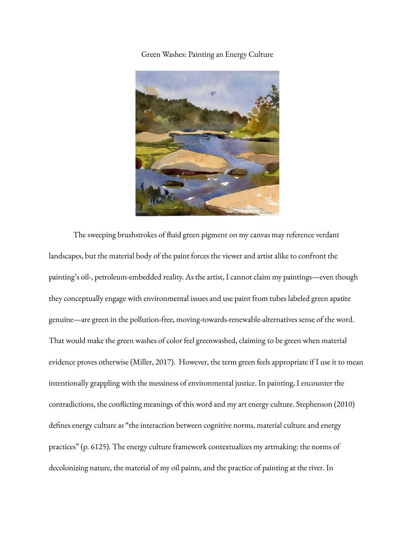Green Washes: Painting an Energy Culture



The sweeping brushstrokes of fluid green pigment on my canvas may reference verdant landscapes, but the material body of the paint forces the viewer and artist alike to confront the painting's oil-, petroleum-embedded reality. As the artist, I cannot claim my paintings—even though they conceptually engage with environmental issues and use paint from tubes labeled green apatite genuine—are green in the pollution-free, moving-towards-renewable-alternatives sense of the word. That would make the green washes of color feel greenwashed, claiming to be green when material evidence proves otherwise (Miller, 2017). However, the term green feels appropriate if I use it to mean intentionally grappling with the messiness of environmental justice. In painting, I encounter the contradictions, the conflicting meanings of this word and my art energy culture. Stephenson (2010) defines energy culture as "the interaction between cognitive norms, material culture and energy practices" (p. 6125). The energy culture framework contextualizes my artmaking: the norms of decolonizing nature, the material of my oil paints, and the practice of painting at the river. In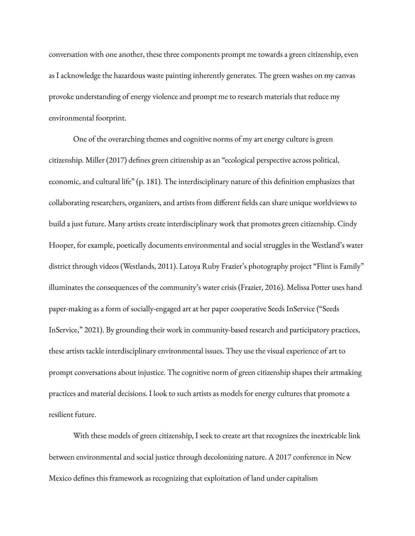conversation with one another, these three components prompt me towards a green citizenship, even as I acknowledge the hazardous waste painting inherently generates. The green washes on my canvas provoke understanding of energy violence and prompt me to research materials that reduce my environmental footprint.

One of the overarching themes and cognitive norms of my art energy culture is green citizenship. Miller (2017) defines green citizenship as an "ecological perspective across political, economic, and cultural life" (p. 181). The interdisciplinary nature of this definition emphasizes that collaborating researchers, organizers, and artists from different fields can share unique worldviews to build a just future. Many artists create interdisciplinary work that promotes green citizenship. Cindy Hooper, for example, poetically documents environmental and social struggles in the Westland's water district through videos (Westlands, 2011). Latoya Ruby Frazier's photography project "Flint is Family" illuminates the consequences of the community's water crisis (Frazier, 2016). Melissa Potter uses hand paper-making as a form of socially-engaged art at her paper cooperative Seeds InService ("Seeds InService," 2021). By grounding their work in community-based research and participatory practices, these artists tackle interdisciplinary environmental issues. They use the visual experience of art to prompt conversations about injustice. The cognitive norm of green citizenship shapes their artmaking practices and material decisions. I look to such artists as models for energy cultures that promote a resilient future.

With these models of green citizenship, I seek to create art that recognizes the inextricable link between environmental and social justice through decolonizing nature. A 2017 conference in New Mexico defines this framework as recognizing that exploitation of land under capitalism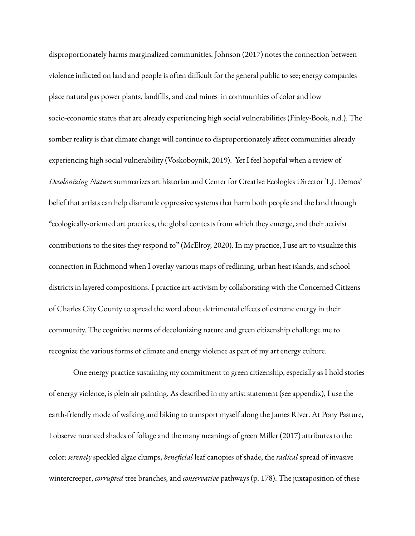disproportionately harms marginalized communities. Johnson (2017) notes the connection between violence inflicted on land and people is often difficult for the general public to see; energy companies place natural gas power plants, landfills, and coal mines in communities of color and low socio-economic status that are already experiencing high social vulnerabilities (Finley-Book, n.d.). The somber reality is that climate change will continue to disproportionately affect communities already experiencing high social vulnerability (Voskoboynik, 2019). Yet I feel hopeful when a review of *Decolonizing Nature* summarizes art historian and Center for Creative Ecologies Director T.J. Demos' belief that artists can help dismantle oppressive systems that harm both people and the land through "ecologically-oriented art practices, the global contexts from which they emerge, and their activist contributions to the sites they respond to" (McElroy, 2020). In my practice, I use art to visualize this connection in Richmond when I overlay various maps of redlining, urban heat islands, and school districts in layered compositions. I practice art-activism by collaborating with the Concerned Citizens of Charles City County to spread the word about detrimental effects of extreme energy in their community. The cognitive norms of decolonizing nature and green citizenship challenge me to recognize the various forms of climate and energy violence as part of my art energy culture.

One energy practice sustaining my commitment to green citizenship, especially as I hold stories of energy violence, is plein air painting. As described in my artist statement (see appendix), I use the earth-friendly mode of walking and biking to transport myself along the James River. At Pony Pasture, I observe nuanced shades of foliage and the many meanings of green Miller (2017) attributes to the color: *serenely* speckled algae clumps, *beneficial* leaf canopies of shade, the *radical* spread of invasive wintercreeper, *corrupted* tree branches, and *conservative* pathways (p. 178). The juxtaposition of these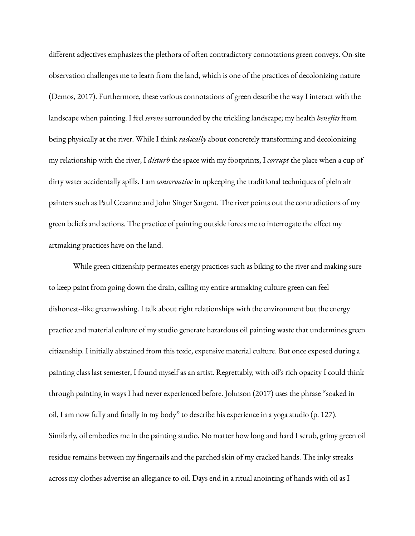different adjectives emphasizes the plethora of often contradictory connotations green conveys. On-site observation challenges me to learn from the land, which is one of the practices of decolonizing nature (Demos, 2017). Furthermore, these various connotations of green describe the way I interact with the landscape when painting. I feel *serene* surrounded by the trickling landscape; my health *benefits* from being physically at the river. While I think *radically* about concretely transforming and decolonizing my relationship with the river, I *disturb* the space with my footprints, I *corrupt* the place when a cup of dirty water accidentally spills. I am *conservative* in upkeeping the traditional techniques of plein air painters such as Paul Cezanne and John Singer Sargent. The river points out the contradictions of my green beliefs and actions. The practice of painting outside forces me to interrogate the effect my artmaking practices have on the land.

While green citizenship permeates energy practices such as biking to the river and making sure to keep paint from going down the drain, calling my entire artmaking culture green can feel dishonest--like greenwashing. I talk about right relationships with the environment but the energy practice and material culture of my studio generate hazardous oil painting waste that undermines green citizenship. I initially abstained from this toxic, expensive material culture. But once exposed during a painting class last semester, I found myself as an artist. Regrettably, with oil's rich opacity I could think through painting in ways I had never experienced before. Johnson (2017) uses the phrase "soaked in oil, I am now fully and finally in my body" to describe his experience in a yoga studio (p. 127). Similarly, oil embodies me in the painting studio. No matter how long and hard I scrub, grimy green oil residue remains between my fingernails and the parched skin of my cracked hands. The inky streaks across my clothes advertise an allegiance to oil. Days end in a ritual anointing of hands with oil as I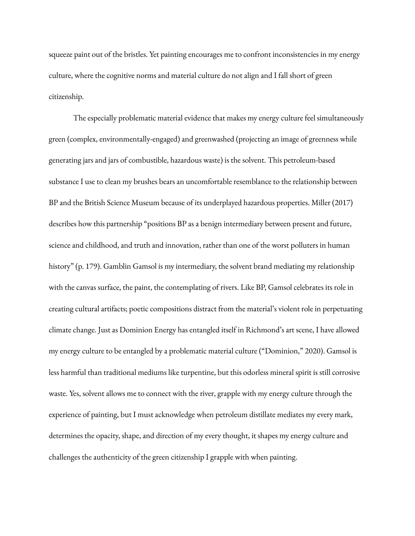squeeze paint out of the bristles. Yet painting encourages me to confront inconsistencies in my energy culture, where the cognitive norms and material culture do not align and I fall short of green citizenship.

The especially problematic material evidence that makes my energy culture feel simultaneously green (complex, environmentally-engaged) and greenwashed (projecting an image of greenness while generating jars and jars of combustible, hazardous waste) is the solvent. This petroleum-based substance I use to clean my brushes bears an uncomfortable resemblance to the relationship between BP and the British Science Museum because of its underplayed hazardous properties. Miller (2017) describes how this partnership "positions BP as a benign intermediary between present and future, science and childhood, and truth and innovation, rather than one of the worst polluters in human history" (p. 179). Gamblin Gamsol is my intermediary, the solvent brand mediating my relationship with the canvas surface, the paint, the contemplating of rivers. Like BP, Gamsol celebrates its role in creating cultural artifacts; poetic compositions distract from the material's violent role in perpetuating climate change. Just as Dominion Energy has entangled itself in Richmond's art scene, I have allowed my energy culture to be entangled by a problematic material culture ("Dominion," 2020). Gamsol is less harmful than traditional mediums like turpentine, but this odorless mineral spirit is still corrosive waste. Yes, solvent allows me to connect with the river, grapple with my energy culture through the experience of painting, but I must acknowledge when petroleum distillate mediates my every mark, determines the opacity, shape, and direction of my every thought, it shapes my energy culture and challenges the authenticity of the green citizenship I grapple with when painting.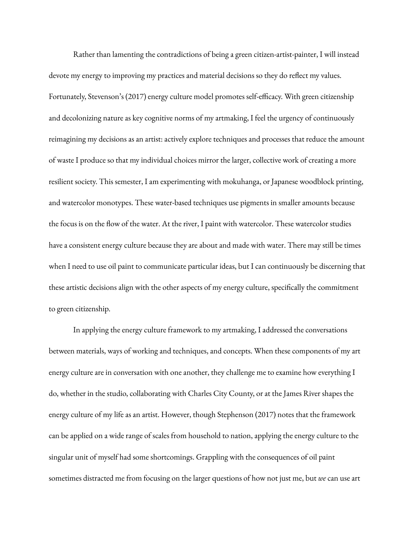Rather than lamenting the contradictions of being a green citizen-artist-painter, I will instead devote my energy to improving my practices and material decisions so they do reflect my values. Fortunately, Stevenson's (2017) energy culture model promotes self-efficacy. With green citizenship and decolonizing nature as key cognitive norms of my artmaking, I feel the urgency of continuously reimagining my decisions as an artist: actively explore techniques and processes that reduce the amount of waste I produce so that my individual choices mirror the larger, collective work of creating a more resilient society. This semester, I am experimenting with mokuhanga, or Japanese woodblock printing, and watercolor monotypes. These water-based techniques use pigments in smaller amounts because the focus is on the flow of the water. At the river, I paint with watercolor. These watercolor studies have a consistent energy culture because they are about and made with water. There may still be times when I need to use oil paint to communicate particular ideas, but I can continuously be discerning that these artistic decisions align with the other aspects of my energy culture, specifically the commitment to green citizenship.

In applying the energy culture framework to my artmaking, I addressed the conversations between materials, ways of working and techniques, and concepts. When these components of my art energy culture are in conversation with one another, they challenge me to examine how everything I do, whether in the studio, collaborating with Charles City County, or at the James River shapes the energy culture of my life as an artist. However, though Stephenson (2017) notes that the framework can be applied on a wide range of scales from household to nation, applying the energy culture to the singular unit of myself had some shortcomings. Grappling with the consequences of oil paint sometimes distracted me from focusing on the larger questions of how not just me, but *we* can use art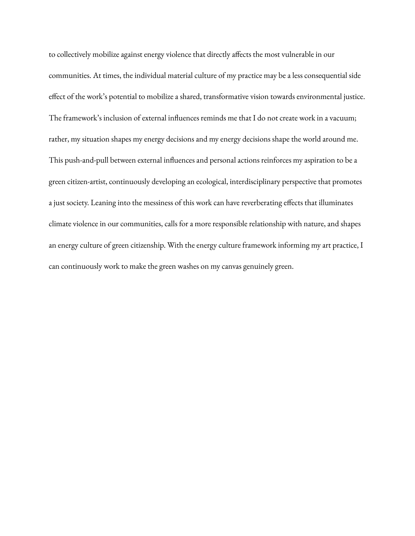to collectively mobilize against energy violence that directly affects the most vulnerable in our communities. At times, the individual material culture of my practice may be a less consequential side effect of the work's potential to mobilize a shared, transformative vision towards environmental justice. The framework's inclusion of external influences reminds me that I do not create work in a vacuum; rather, my situation shapes my energy decisions and my energy decisions shape the world around me. This push-and-pull between external influences and personal actions reinforces my aspiration to be a green citizen-artist, continuously developing an ecological, interdisciplinary perspective that promotes a just society. Leaning into the messiness of this work can have reverberating effects that illuminates climate violence in our communities, calls for a more responsible relationship with nature, and shapes an energy culture of green citizenship. With the energy culture framework informing my art practice, I can continuously work to make the green washes on my canvas genuinely green.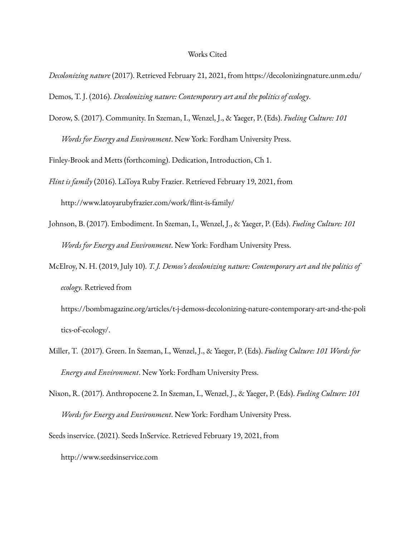## Works Cited

*Decolonizing nature* (2017). Retrieved February 21, 2021, from <https://decolonizingnature.unm.edu/>

Demos, T. J. (2016). *Decolonizing nature: Contemporary art and the politics of ecology*.

Dorow, S. (2017). Community. In Szeman, I., Wenzel, J., & Yaeger, P. (Eds). *Fueling Culture: 101 Words for Energy and Environment*. New York: Fordham University Press.

Finley-Brook and Metts (forthcoming). Dedication, Introduction, Ch 1.

- *Flint is family* (2016). LaToya Ruby Frazier. Retrieved February 19, 2021, from http://www.latoyarubyfrazier.com/work/flint-is-family/
- Johnson, B. (2017). Embodiment. In Szeman, I., Wenzel, J., & Yaeger, P. (Eds). *Fueling Culture: 101 Words for Energy and Environment*. New York: Fordham University Press.
- McElroy, N. H. (2019, July 10). *T. J. Demos's decolonizing nature: Contemporary art and the politics of ecology.* Retrieved from

https://bombmagazine.org/articles/t-j-demoss-decolonizing-nature-contemporary-art-and-the-poli tics-of-ecology/.

- Miller, T. (2017). Green. In Szeman, I., Wenzel, J., & Yaeger, P. (Eds). *Fueling Culture: 101 Words for Energy and Environment*. New York: Fordham University Press.
- Nixon, R. (2017). Anthropocene 2. In Szeman, I., Wenzel, J., & Yaeger, P. (Eds). *Fueling Culture: 101 Words for Energy and Environment*. New York: Fordham University Press.

Seeds inservice. (2021). Seeds InService. Retrieved February 19, 2021, from

<http://www.seedsinservice.com>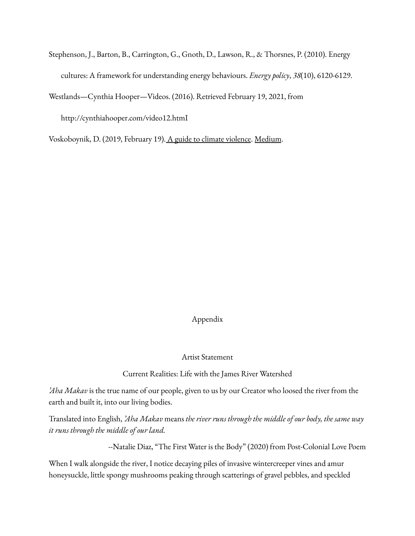Stephenson, J., Barton, B., Carrington, G., Gnoth, D., Lawson, R., & Thorsnes, P. (2010). Energy cultures: A framework for understanding energy behaviours. *Energy policy*, *38*(10), 6120-6129.

Westlands—Cynthia Hooper—Videos. (2016). Retrieved February 19, 2021, from

http://cynthiahooper.com/video12.htmI

Voskoboynik, D. (2019, February 19). A guide to climate [violence](https://worldat1c.org/a-guide-to-climate-violence-4cfbc5a7648f). Medium.

## Appendix

Artist Statement

Current Realities: Life with the James River Watershed

*'Aha Makav* is the true name of our people, given to us by our Creator who loosed the river from the earth and built it, into our living bodies.

Translated into English, *'Aha Makav* means *the river runs through the middle of our body, the same way it runs through the middle of our land.*

--Natalie Diaz, "The First Water is the Body" (2020) from Post-Colonial Love Poem

When I walk alongside the river, I notice decaying piles of invasive wintercreeper vines and amur honeysuckle, little spongy mushrooms peaking through scatterings of gravel pebbles, and speckled